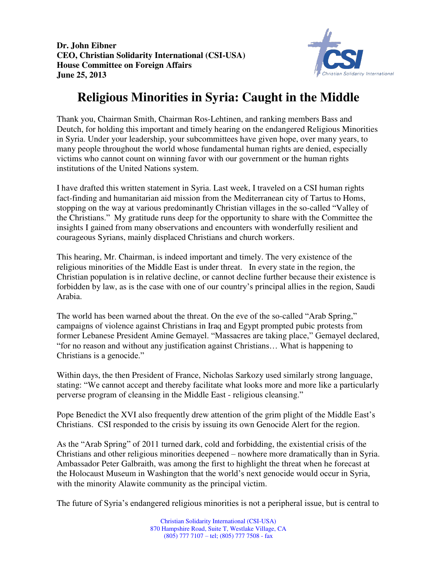**Dr. John Eibner CEO, Christian Solidarity International (CSI-USA) House Committee on Foreign Affairs June 25, 2013** 



## **Religious Minorities in Syria: Caught in the Middle**

Thank you, Chairman Smith, Chairman Ros-Lehtinen, and ranking members Bass and Deutch, for holding this important and timely hearing on the endangered Religious Minorities in Syria. Under your leadership, your subcommittees have given hope, over many years, to many people throughout the world whose fundamental human rights are denied, especially victims who cannot count on winning favor with our government or the human rights institutions of the United Nations system.

I have drafted this written statement in Syria. Last week, I traveled on a CSI human rights fact-finding and humanitarian aid mission from the Mediterranean city of Tartus to Homs, stopping on the way at various predominantly Christian villages in the so-called "Valley of the Christians." My gratitude runs deep for the opportunity to share with the Committee the insights I gained from many observations and encounters with wonderfully resilient and courageous Syrians, mainly displaced Christians and church workers.

This hearing, Mr. Chairman, is indeed important and timely. The very existence of the religious minorities of the Middle East is under threat. In every state in the region, the Christian population is in relative decline, or cannot decline further because their existence is forbidden by law, as is the case with one of our country's principal allies in the region, Saudi Arabia.

The world has been warned about the threat. On the eve of the so-called "Arab Spring," campaigns of violence against Christians in Iraq and Egypt prompted pubic protests from former Lebanese President Amine Gemayel. "Massacres are taking place," Gemayel declared, "for no reason and without any justification against Christians… What is happening to Christians is a genocide."

Within days, the then President of France, Nicholas Sarkozy used similarly strong language, stating: "We cannot accept and thereby facilitate what looks more and more like a particularly perverse program of cleansing in the Middle East - religious cleansing."

Pope Benedict the XVI also frequently drew attention of the grim plight of the Middle East's Christians. CSI responded to the crisis by issuing its own Genocide Alert for the region.

As the "Arab Spring" of 2011 turned dark, cold and forbidding, the existential crisis of the Christians and other religious minorities deepened – nowhere more dramatically than in Syria. Ambassador Peter Galbraith, was among the first to highlight the threat when he forecast at the Holocaust Museum in Washington that the world's next genocide would occur in Syria, with the minority Alawite community as the principal victim.

The future of Syria's endangered religious minorities is not a peripheral issue, but is central to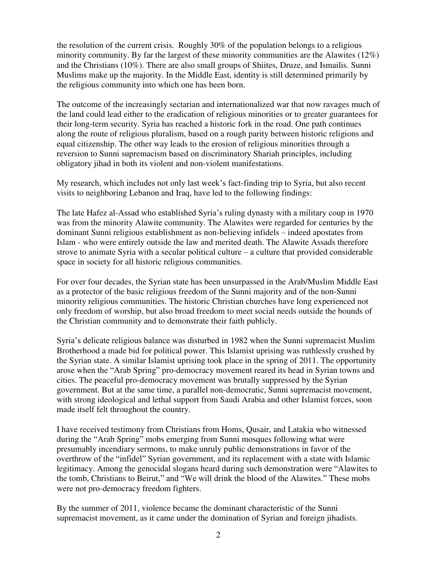the resolution of the current crisis. Roughly 30% of the population belongs to a religious minority community. By far the largest of these minority communities are the Alawites (12%) and the Christians (10%). There are also small groups of Shiites, Druze, and Ismailis. Sunni Muslims make up the majority. In the Middle East, identity is still determined primarily by the religious community into which one has been born.

The outcome of the increasingly sectarian and internationalized war that now ravages much of the land could lead either to the eradication of religious minorities or to greater guarantees for their long-term security. Syria has reached a historic fork in the road. One path continues along the route of religious pluralism, based on a rough parity between historic religions and equal citizenship. The other way leads to the erosion of religious minorities through a reversion to Sunni supremacism based on discriminatory Shariah principles, including obligatory jihad in both its violent and non-violent manifestations.

My research, which includes not only last week's fact-finding trip to Syria, but also recent visits to neighboring Lebanon and Iraq, have led to the following findings:

The late Hafez al-Assad who established Syria's ruling dynasty with a military coup in 1970 was from the minority Alawite community. The Alawites were regarded for centuries by the dominant Sunni religious establishment as non-believing infidels – indeed apostates from Islam - who were entirely outside the law and merited death. The Alawite Assads therefore strove to animate Syria with a secular political culture – a culture that provided considerable space in society for all historic religious communities.

For over four decades, the Syrian state has been unsurpassed in the Arab/Muslim Middle East as a protector of the basic religious freedom of the Sunni majority and of the non-Sunni minority religious communities. The historic Christian churches have long experienced not only freedom of worship, but also broad freedom to meet social needs outside the bounds of the Christian community and to demonstrate their faith publicly.

Syria's delicate religious balance was disturbed in 1982 when the Sunni supremacist Muslim Brotherhood a made bid for political power. This Islamist uprising was ruthlessly crushed by the Syrian state. A similar Islamist uprising took place in the spring of 2011. The opportunity arose when the "Arab Spring" pro-democracy movement reared its head in Syrian towns and cities. The peaceful pro-democracy movement was brutally suppressed by the Syrian government. But at the same time, a parallel non-democratic, Sunni supremacist movement, with strong ideological and lethal support from Saudi Arabia and other Islamist forces, soon made itself felt throughout the country.

I have received testimony from Christians from Homs, Qusair, and Latakia who witnessed during the "Arab Spring" mobs emerging from Sunni mosques following what were presumably incendiary sermons, to make unruly public demonstrations in favor of the overthrow of the "infidel" Syrian government, and its replacement with a state with Islamic legitimacy. Among the genocidal slogans heard during such demonstration were "Alawites to the tomb, Christians to Beirut," and "We will drink the blood of the Alawites." These mobs were not pro-democracy freedom fighters.

By the summer of 2011, violence became the dominant characteristic of the Sunni supremacist movement, as it came under the domination of Syrian and foreign jihadists.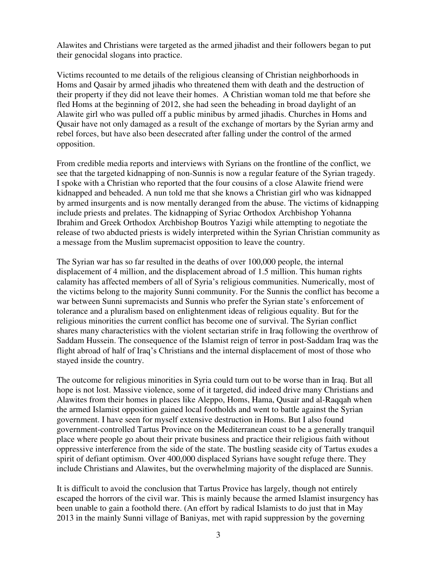Alawites and Christians were targeted as the armed jihadist and their followers began to put their genocidal slogans into practice.

Victims recounted to me details of the religious cleansing of Christian neighborhoods in Homs and Qasair by armed jihadis who threatened them with death and the destruction of their property if they did not leave their homes. A Christian woman told me that before she fled Homs at the beginning of 2012, she had seen the beheading in broad daylight of an Alawite girl who was pulled off a public minibus by armed jihadis. Churches in Homs and Qusair have not only damaged as a result of the exchange of mortars by the Syrian army and rebel forces, but have also been desecrated after falling under the control of the armed opposition.

From credible media reports and interviews with Syrians on the frontline of the conflict, we see that the targeted kidnapping of non-Sunnis is now a regular feature of the Syrian tragedy. I spoke with a Christian who reported that the four cousins of a close Alawite friend were kidnapped and beheaded. A nun told me that she knows a Christian girl who was kidnapped by armed insurgents and is now mentally deranged from the abuse. The victims of kidnapping include priests and prelates. The kidnapping of Syriac Orthodox Archbishop Yohanna Ibrahim and Greek Orthodox Archbishop Boutros Yazigi while attempting to negotiate the release of two abducted priests is widely interpreted within the Syrian Christian community as a message from the Muslim supremacist opposition to leave the country.

The Syrian war has so far resulted in the deaths of over 100,000 people, the internal displacement of 4 million, and the displacement abroad of 1.5 million. This human rights calamity has affected members of all of Syria's religious communities. Numerically, most of the victims belong to the majority Sunni community. For the Sunnis the conflict has become a war between Sunni supremacists and Sunnis who prefer the Syrian state's enforcement of tolerance and a pluralism based on enlightenment ideas of religious equality. But for the religious minorities the current conflict has become one of survival. The Syrian conflict shares many characteristics with the violent sectarian strife in Iraq following the overthrow of Saddam Hussein. The consequence of the Islamist reign of terror in post-Saddam Iraq was the flight abroad of half of Iraq's Christians and the internal displacement of most of those who stayed inside the country.

The outcome for religious minorities in Syria could turn out to be worse than in Iraq. But all hope is not lost. Massive violence, some of it targeted, did indeed drive many Christians and Alawites from their homes in places like Aleppo, Homs, Hama, Qusair and al-Raqqah when the armed Islamist opposition gained local footholds and went to battle against the Syrian government. I have seen for myself extensive destruction in Homs. But I also found government-controlled Tartus Province on the Mediterranean coast to be a generally tranquil place where people go about their private business and practice their religious faith without oppressive interference from the side of the state. The bustling seaside city of Tartus exudes a spirit of defiant optimism. Over 400,000 displaced Syrians have sought refuge there. They include Christians and Alawites, but the overwhelming majority of the displaced are Sunnis.

It is difficult to avoid the conclusion that Tartus Provice has largely, though not entirely escaped the horrors of the civil war. This is mainly because the armed Islamist insurgency has been unable to gain a foothold there. (An effort by radical Islamists to do just that in May 2013 in the mainly Sunni village of Baniyas, met with rapid suppression by the governing